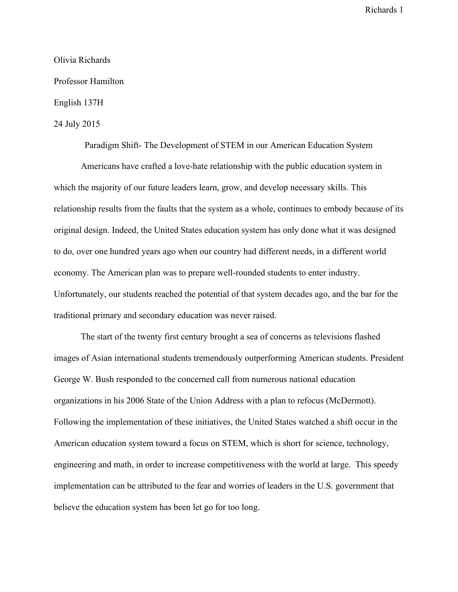## Olivia Richards Professor Hamilton

## English 137H

## 24 July 2015

Paradigm Shift-The Development of STEM in our American Education System

Americans have crafted a love-hate relationship with the public education system in which the majority of our future leaders learn, grow, and develop necessary skills. This relationship results from the faults that the system as a whole, continues to embody because of its original design. Indeed, the United States education system has only done what it was designed to do, over one hundred years ago when our country had different needs, in a different world economy. The American plan was to prepare well-rounded students to enter industry. Unfortunately, our students reached the potential of that system decades ago, and the bar for the traditional primary and secondary education was never raised.

The start of the twenty first century brought a sea of concerns as televisions flashed images of Asian international students tremendously outperforming American students. President George W. Bush responded to the concerned call from numerous national education organizations in his 2006 State of the Union Address with a plan to refocus (McDermott). Following the implementation of these initiatives, the United States watched a shift occur in the American education system toward a focus on STEM, which is short for science, technology, engineering and math, in order to increase competitiveness with the world at large. This speedy implementation can be attributed to the fear and worries of leaders in the U.S. government that believe the education system has been let go for too long.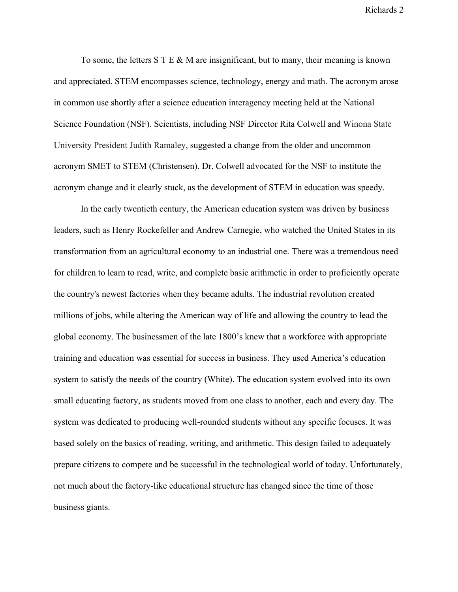To some, the letters  $S T E \& M$  are insignificant, but to many, their meaning is known and appreciated. STEM encompasses science, technology, energy and math. The acronym arose in common use shortly after a science education interagency meeting held at the National Science Foundation (NSF). Scientists, including NSF Director Rita Colwell and Winona State University President Judith Ramaley, suggested a change from the older and uncommon acronym SMET to STEM (Christensen). Dr. Colwell advocated for the NSF to institute the acronym change and it clearly stuck, as the development of STEM in education was speedy.

In the early twentieth century, the American education system was driven by business leaders, such as Henry Rockefeller and Andrew Carnegie, who watched the United States in its transformation from an agricultural economy to an industrial one. There was a tremendous need for children to learn to read, write, and complete basic arithmetic in order to proficiently operate the country's newest factories when they became adults. The industrial revolution created millions of jobs, while altering the American way of life and allowing the country to lead the global economy. The businessmen of the late 1800's knew that a workforce with appropriate training and education was essential for success in business. They used America's education system to satisfy the needs of the country (White). The education system evolved into its own small educating factory, as students moved from one class to another, each and every day. The system was dedicated to producing well-rounded students without any specific focuses. It was based solely on the basics of reading, writing, and arithmetic. This design failed to adequately prepare citizens to compete and be successful in the technological world of today. Unfortunately, not much about the factory-like educational structure has changed since the time of those business giants.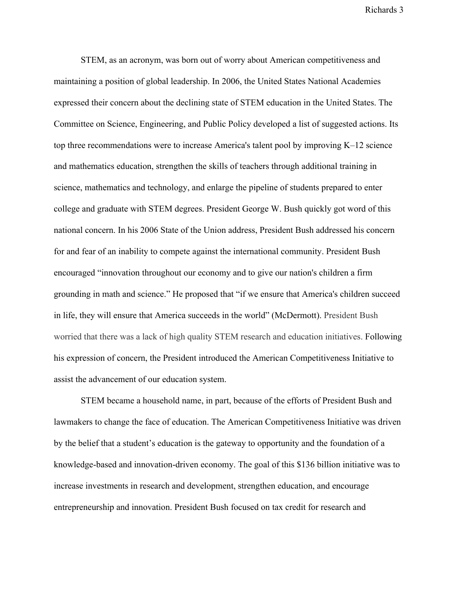STEM, as an acronym, was born out of worry about American competitiveness and maintaining a position of global leadership. In 2006, the United States National Academies expressed their concern about the declining state of STEM education in the United States. The Committee on Science, Engineering, and Public Policy developed a list of suggested actions. Its top three recommendations were to increase America's talent pool by improving K–12 science and mathematics education, strengthen the skills of teachers through additional training in science, mathematics and technology, and enlarge the pipeline of students prepared to enter college and graduate with STEM degrees. President George W. Bush quickly got word of this national concern. In his 2006 State of the Union address, President Bush addressed his concern for and fear of an inability to compete against the international community. President Bush encouraged "innovation throughout our economy and to give our nation's children a firm grounding in math and science." He proposed that "if we ensure that America's children succeed in life, they will ensure that America succeeds in the world" (McDermott). President Bush worried that there was a lack of high quality STEM research and education initiatives. Following his expression of concern, the President introduced the American Competitiveness Initiative to assist the advancement of our education system.

STEM became a household name, in part, because of the efforts of President Bush and lawmakers to change the face of education. The American Competitiveness Initiative was driven by the belief that a student's education is the gateway to opportunity and the foundation of a knowledge-based and innovation-driven economy. The goal of this \$136 billion initiative was to increase investments in research and development, strengthen education, and encourage entrepreneurship and innovation. President Bush focused on tax credit for research and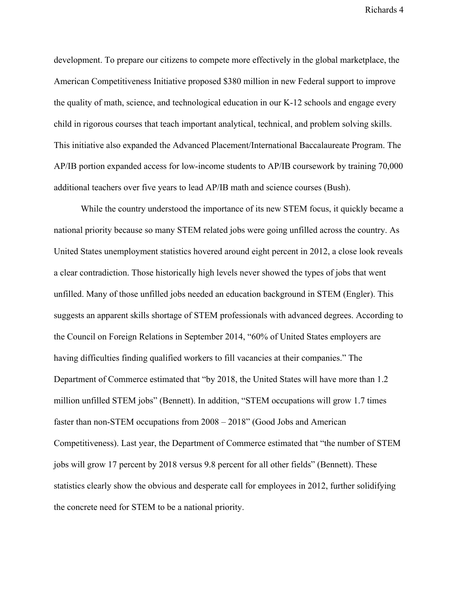development. To prepare our citizens to compete more effectively in the global marketplace, the American Competitiveness Initiative proposed \$380 million in new Federal support to improve the quality of math, science, and technological education in our K-12 schools and engage every child in rigorous courses that teach important analytical, technical, and problem solving skills. This initiative also expanded the Advanced Placement/International Baccalaureate Program. The AP/IB portion expanded access for low-income students to AP/IB coursework by training 70,000 additional teachers over five years to lead AP/IB math and science courses (Bush).

While the country understood the importance of its new STEM focus, it quickly became a national priority because so many STEM related jobs were going unfilled across the country. As United States unemployment statistics hovered around eight percent in 2012, a close look reveals a clear contradiction. Those historically high levels never showed the types of jobs that went unfilled. Many of those unfilled jobs needed an education background in STEM (Engler). This suggests an apparent skills shortage of STEM professionals with advanced degrees. According to the Council on Foreign Relations in September 2014, "60% of United States employers are having difficulties finding qualified workers to fill vacancies at their companies." The Department of Commerce estimated that "by 2018, the United States will have more than 1.2 million unfilled STEM jobs" (Bennett). In addition, "STEM occupations will grow 1.7 times faster than non-STEM occupations from  $2008 - 2018$ " (Good Jobs and American Competitiveness). Last year, the Department of Commerce estimated that "the number of STEM jobs will grow 17 percent by 2018 versus 9.8 percent for all other fields" (Bennett). These statistics clearly show the obvious and desperate call for employees in 2012, further solidifying the concrete need for STEM to be a national priority.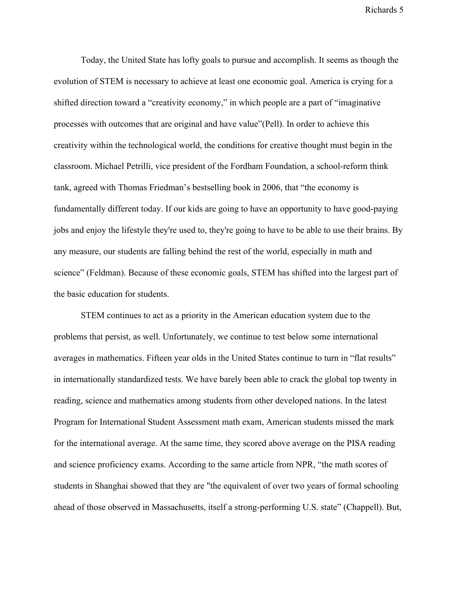Today, the United State has lofty goals to pursue and accomplish. It seems as though the evolution of STEM is necessary to achieve at least one economic goal. America is crying for a shifted direction toward a "creativity economy," in which people are a part of "imaginative processes with outcomes that are original and have value"(Pell). In order to achieve this creativity within the technological world, the conditions for creative thought must begin in the classroom. Michael Petrilli, vice president of the Fordham Foundation, a school-reform think tank, agreed with Thomas Friedman's bestselling book in 2006, that "the economy is fundamentally different today. If our kids are going to have an opportunity to have good-paying jobs and enjoy the lifestyle they're used to, they're going to have to be able to use their brains. By any measure, our students are falling behind the rest of the world, especially in math and science" (Feldman). Because of these economic goals, STEM has shifted into the largest part of the basic education for students.

STEM continues to act as a priority in the American education system due to the problems that persist, as well. Unfortunately, we continue to test below some international averages in mathematics. Fifteen year olds in the United States continue to turn in "flat results" in internationally standardized tests. We have barely been able to crack the global top twenty in reading, science and mathematics among students from other developed nations. In the latest Program for International Student Assessment math exam, American students missed the mark for the international average. At the same time, they scored above average on the PISA reading and science proficiency exams. According to the same article from NPR, "the math scores of students in Shanghai showed that they are "the equivalent of over two years of formal schooling ahead of those observed in Massachusetts, itself a strong-performing U.S. state" (Chappell). But,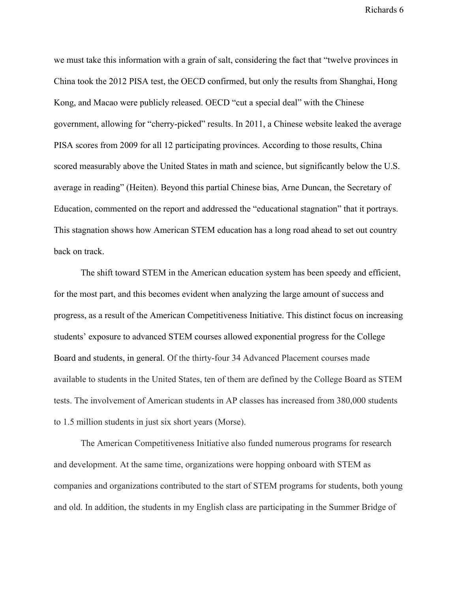we must take this information with a grain of salt, considering the fact that "twelve provinces in China took the 2012 PISA test, the OECD confirmed, but only the results from Shanghai, Hong Kong, and Macao were publicly released. OECD "cut a special deal" with the Chinese government, allowing for "cherry-picked" results. In 2011, a Chinese website leaked the [average](http://www.anhuinews.com/zhuyeguanli/system/2011/01/11/003654070.shtml) PISA [scores](http://www.anhuinews.com/zhuyeguanli/system/2011/01/11/003654070.shtml) from 2009 for all 12 participating provinces. According to those results, China scored measurably above the United States in math and science, but significantly below the U.S. average in reading" (Heiten). Beyond this partial Chinese bias, Arne Duncan, the Secretary of Education, commented on the report and addressed the "educational stagnation" that it portrays. This stagnation shows how American STEM education has a long road ahead to set out country back on track.

The shift toward STEM in the American education system has been speedy and efficient, for the most part, and this becomes evident when analyzing the large amount of success and progress, as a result of the American Competitiveness Initiative. This distinct focus on increasing students' exposure to advanced STEM courses allowed exponential progress for the College Board and students, in general. Of the thirty-four 34 Advanced Placement courses made available to students in the United States, ten of them are defined by the College Board as STEM tests. The involvement of American students in AP classes has increased from 380,000 students to 1.5 million students in just six short years (Morse).

The American Competitiveness Initiative also funded numerous programs for research and development. At the same time, organizations were hopping onboard with STEM as companies and organizations contributed to the start of STEM programs for students, both young and old. In addition, the students in my English class are participating in the Summer Bridge of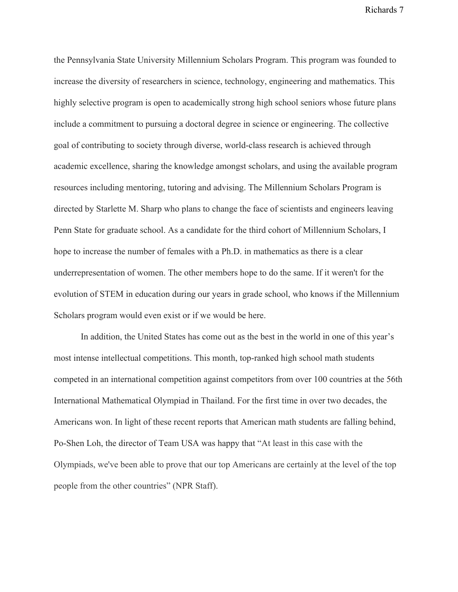the Pennsylvania State University Millennium Scholars Program. This program was founded to increase the diversity of researchers in science, technology, engineering and mathematics. This highly selective program is open to academically strong high school seniors whose future plans include a commitment to pursuing a doctoral degree in science or engineering. The collective goal of contributing to society through diverse, world-class research is achieved through academic excellence, sharing the knowledge amongst scholars, and using the available program resources including mentoring, tutoring and advising. The Millennium Scholars Program is directed by Starlette M. Sharp who plans to change the face of scientists and engineers leaving Penn State for graduate school. As a candidate for the third cohort of Millennium Scholars, I hope to increase the number of females with a Ph.D. in mathematics as there is a clear underrepresentation of women. The other members hope to do the same. If it weren't for the evolution of STEM in education during our years in grade school, who knows if the Millennium Scholars program would even exist or if we would be here.

In addition, the United States has come out as the best in the world in one of this year's most intense intellectual competitions. This month, top-ranked high school math students competed in an international competition against competitors from over 100 countries at the 56th International Mathematical Olympiad in Thailand. For the first time in over two decades, the Americans won. In light of these recent reports that American math students are falling behind, PoShen Loh, the director of Team USA was happy that "At least in this case with the Olympiads, we've been able to prove that our top Americans are certainly at the level of the top people from the other countries" (NPR Staff).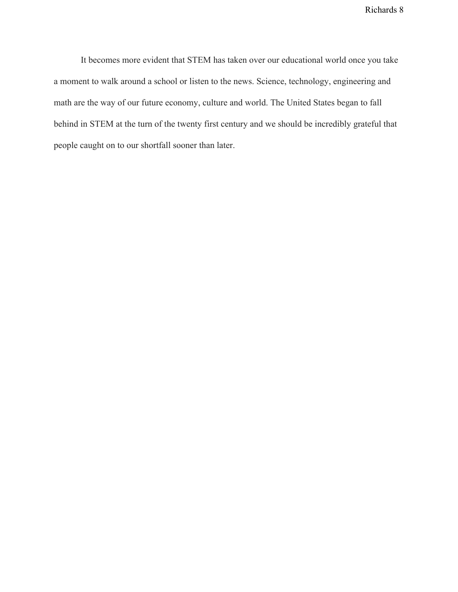It becomes more evident that STEM has taken over our educational world once you take a moment to walk around a school or listen to the news. Science, technology, engineering and math are the way of our future economy, culture and world. The United States began to fall behind in STEM at the turn of the twenty first century and we should be incredibly grateful that people caught on to our shortfall sooner than later.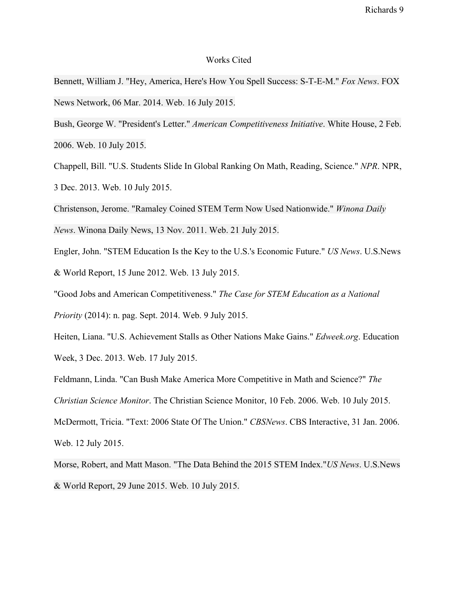## Works Cited

Bennett, William J. "Hey, America, Here's How You Spell Success: S-T-E-M." *Fox News*. FOX News Network, 06 Mar. 2014. Web. 16 July 2015.

Bush, George W. "President's Letter." *American Competitiveness Initiative*. White House, 2 Feb. 2006. Web. 10 July 2015.

Chappell, Bill. "U.S. Students Slide In Global Ranking On Math, Reading, Science." *NPR*. NPR, 3 Dec. 2013. Web. 10 July 2015.

Christenson, Jerome. "Ramaley Coined STEM Term Now Used Nationwide." *Winona Daily News*. Winona Daily News, 13 Nov. 2011. Web. 21 July 2015.

Engler, John. "STEM Education Is the Key to the U.S.'s Economic Future." *US News*. U.S.News & World Report, 15 June 2012. Web. 13 July 2015.

"Good Jobs and American Competitiveness." *The Case for STEM Education as a National*

*Priority* (2014): n. pag. Sept. 2014. Web. 9 July 2015.

Heiten, Liana. "U.S. Achievement Stalls as Other Nations Make Gains." *Edweek.org*. Education Week, 3 Dec. 2013. Web. 17 July 2015.

Feldmann, Linda. "Can Bush Make America More Competitive in Math and Science?" *The*

*Christian Science Monitor*. The Christian Science Monitor, 10 Feb. 2006. Web. 10 July 2015.

McDermott, Tricia. "Text: 2006 State Of The Union." *CBSNews*. CBS Interactive, 31 Jan. 2006.

Web. 12 July 2015.

Morse, Robert, and Matt Mason. "The Data Behind the 2015 STEM Index."*US News*. U.S.News & World Report, 29 June 2015. Web. 10 July 2015.